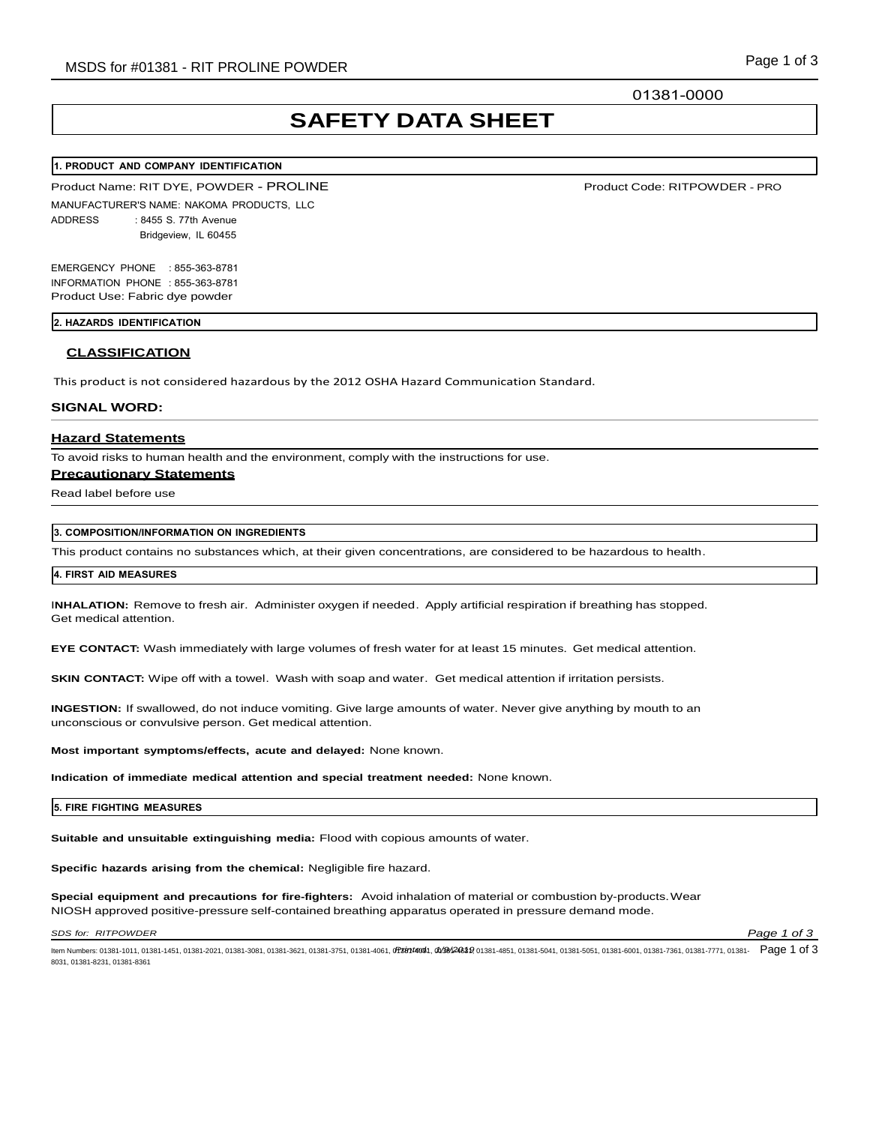01381-0000

# **SAFETY DATA SHEET**

### **1. PRODUCT AND COMPANY IDENTIFICATION**

Product Name: RIT DYE, POWDER - PROLINE

MANUFACTURER'S NAME: NAKOMA PRODUCTS, LLC ADDRESS : 8455 S. 77th Avenue Bridgeview, IL 60455

EMERGENCY PHONE : 855-363-8781 INFORMATION PHONE : 855-363-8781 Product Use: Fabric dye powder

#### **2. HAZARDS IDENTIFICATION**

### **CLASSIFICATION**

This product is not considered hazardous by the 2012 OSHA Hazard Communication Standard.

#### **SIGNAL WORD:**

# **Hazard Statements**

To avoid risks to human health and the environment, comply with the instructions for use.

# **Precautionary Statements**

Read label before use

# **3. COMPOSITION/INFORMATION ON INGREDIENTS**

This product contains no substances which, at their given concentrations, are considered to be hazardous to health.

## **4. FIRST AID MEASURES**

I**NHALATION:** Remove to fresh air. Administer oxygen if needed. Apply artificial respiration if breathing has stopped. Get medical attention.

**EYE CONTACT:** Wash immediately with large volumes of fresh water for at least 15 minutes. Get medical attention.

**SKIN CONTACT:** Wipe off with a towel. Wash with soap and water. Get medical attention if irritation persists.

**INGESTION:** If swallowed, do not induce vomiting. Give large amounts of water. Never give anything by mouth to an unconscious or convulsive person. Get medical attention.

**Most important symptoms/effects, acute and delayed:** None known.

**Indication of immediate medical attention and special treatment needed:** None known.

#### **5. FIRE FIGHTING MEASURES**

**Suitable and unsuitable extinguishing media:** Flood with copious amounts of water.

**Specific hazards arising from the chemical:** Negligible fire hazard.

**Special equipment and precautions for fire-fighters:** Avoid inhalation of material or combustion by-products.Wear NIOSH approved positive-pressure self-contained breathing apparatus operated in pressure demand mode.

*SDS for: RITPOWDER Page 1 of 3*

ltem Numbers: 01381-1011, 01381-1451, 01381-2021, 01381-3081, 01381-3621, 01381-3751, 01381-4061, 07381064,0738104854,01381-4851, 01381-5041, 01381-5051, 01381-6001, 01381-7361, 01381-7771, 01381-7771, 01381- Page 1 of 3 8031, 01381-8231, 01381-8361

Product Code: RITPOWDER - PRO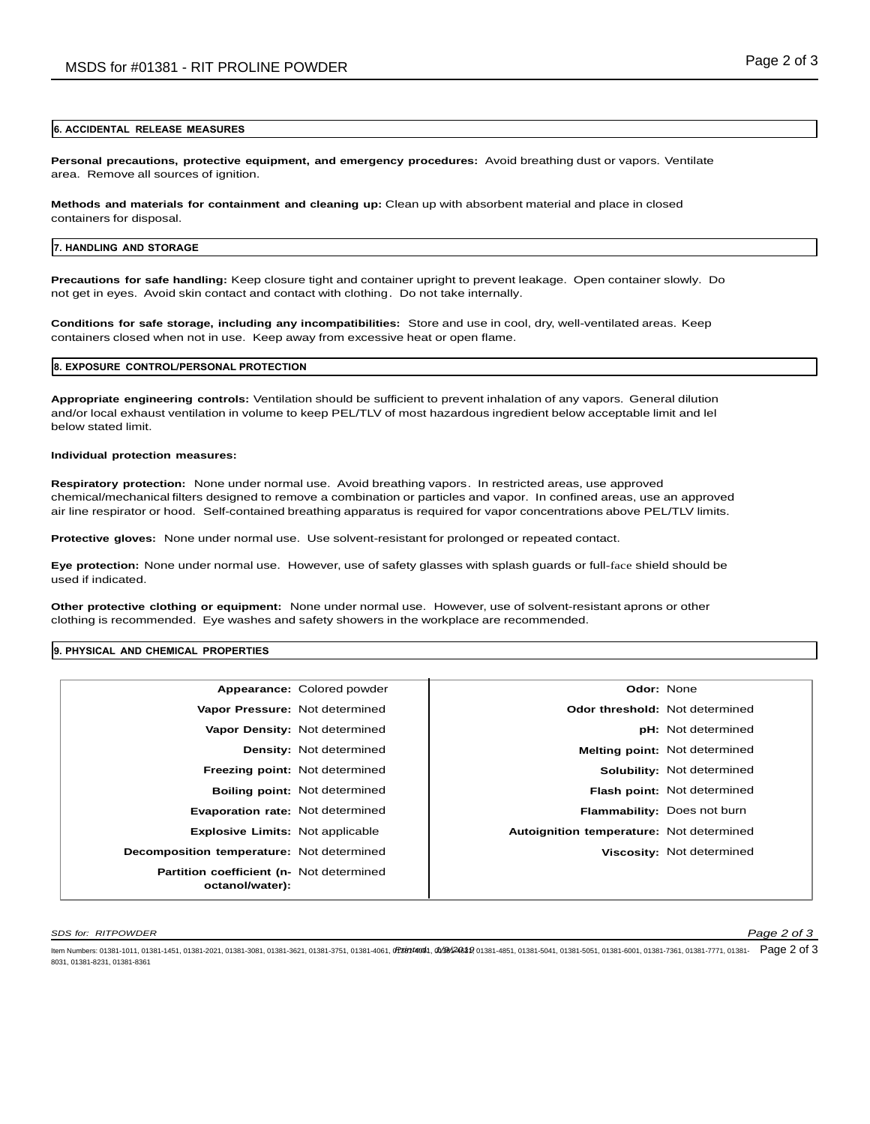#### **6. ACCIDENTAL RELEASE MEASURES**

**Personal precautions, protective equipment, and emergency procedures:** Avoid breathing dust or vapors. Ventilate area. Remove all sources of ignition.

**Methods and materials for containment and cleaning up:** Clean up with absorbent material and place in closed containers for disposal.

#### **7. HANDLING AND STORAGE**

**Precautions for safe handling:** Keep closure tight and container upright to prevent leakage. Open container slowly. Do not get in eyes. Avoid skin contact and contact with clothing. Do not take internally.

**Conditions for safe storage, including any incompatibilities:** Store and use in cool, dry, well-ventilated areas. Keep containers closed when not in use. Keep away from excessive heat or open flame.

### **8. EXPOSURE CONTROL/PERSONAL PROTECTION**

**Appropriate engineering controls:** Ventilation should be sufficient to prevent inhalation of any vapors. General dilution and/or local exhaust ventilation in volume to keep PEL/TLV of most hazardous ingredient below acceptable limit and lel below stated limit.

#### **Individual protection measures:**

**Respiratory protection:** None under normal use. Avoid breathing vapors. In restricted areas, use approved chemical/mechanical filters designed to remove a combination or particles and vapor. In confined areas, use an approved air line respirator or hood. Self-contained breathing apparatus is required for vapor concentrations above PEL/TLV limits.

**Protective gloves:** None under normal use. Use solvent-resistant for prolonged or repeated contact.

**Eye protection:** None under normal use. However, use of safety glasses with splash guards or full-face shield should be used if indicated.

**Other protective clothing or equipment:** None under normal use. However, use of solvent-resistant aprons or other clothing is recommended. Eye washes and safety showers in the workplace are recommended.

#### **9. PHYSICAL AND CHEMICAL PROPERTIES**

|                                                             | Appearance: Colored powder           | Odor: None                               |                                      |
|-------------------------------------------------------------|--------------------------------------|------------------------------------------|--------------------------------------|
| Vapor Pressure: Not determined                              |                                      | Odor threshold: Not determined           |                                      |
|                                                             | Vapor Density: Not determined        |                                          | <b>pH:</b> Not determined            |
|                                                             | <b>Density: Not determined</b>       |                                          | <b>Melting point: Not determined</b> |
| Freezing point: Not determined                              |                                      |                                          | <b>Solubility: Not determined</b>    |
|                                                             | <b>Boiling point: Not determined</b> |                                          | Flash point: Not determined          |
| <b>Evaporation rate: Not determined</b>                     |                                      |                                          | Flammability: Does not burn          |
| <b>Explosive Limits: Not applicable</b>                     |                                      | Autoignition temperature: Not determined |                                      |
| Decomposition temperature: Not determined                   |                                      |                                          | Viscosity: Not determined            |
| Partition coefficient (n- Not determined<br>octanol/water): |                                      |                                          |                                      |

*SDS for: RITPOWDER Page 2 of 3*

ltem Numbers: 01381-1011, 01381-1451, 01381-2021, 01381-3081, 01381-3621, 01381-3751, 01381-4061, 07381064,0738104854,01381-4851, 01381-5041, 01381-5051, 01381-6001, 01381-7361, 01381-7771, 01381-7771, 01381- Page 2 of 3 8031, 01381-8231, 01381-8361